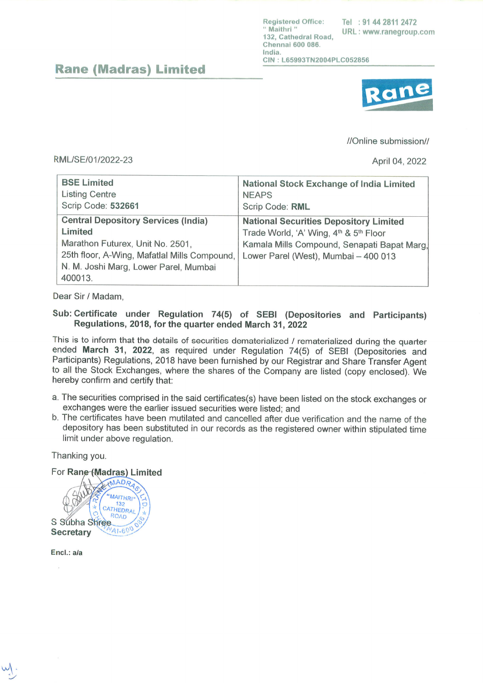l{rrgir,frrt<rtl frffilr. l+rl lli rtr4 :1811'14'l;ì. .,,Il,'l.llii,,^,,, ¿rr r{.¡rri, <sup>I</sup>ll{l r¡rwt¡r' t tlf r{rt['rir rlf r:rir rr (lltetrrtai 600 llÍ16. India.  $CIN : L65993TN2004PLC052856$ 

## Rane (Madras) Limited



//Online submission//

### RML/SE/01/2022-23 April 04, 2022

| <b>BSE Limited</b>                                                                                                                                                                            | <b>National Stock Exchange of India Limited</b>                                                                                                                                |
|-----------------------------------------------------------------------------------------------------------------------------------------------------------------------------------------------|--------------------------------------------------------------------------------------------------------------------------------------------------------------------------------|
| <b>Listing Centre</b>                                                                                                                                                                         | <b>NEAPS</b>                                                                                                                                                                   |
| Scrip Code: 532661                                                                                                                                                                            | Scrip Code: RML                                                                                                                                                                |
| <b>Central Depository Services (India)</b><br>Limited<br>Marathon Futurex, Unit No. 2501,<br>25th floor, A-Wing, Mafatlal Mills Compound,<br>N. M. Joshi Marg, Lower Parel, Mumbai<br>400013. | <b>National Securities Depository Limited</b><br>Trade World, 'A' Wing, 4th & 5th Floor<br>Kamala Mills Compound, Senapati Bapat Marg,<br>Lower Parel (West), Mumbai - 400 013 |

# Sub: Certificate under Regulation 74(5) of SEBI (Depositories and Participants) Regulations, 2018, for the quarter ended March 91, <sup>2022</sup>

This is to inform that the details of securities dematerialized / rematerialized during the quarter ended March 31, 2022, as required under Regulation 74(5) of SEBI (Depositories and Participants) Regulations, 2018 have be to all the Stock Exchanges, where the shares of the Company are listed (copy enclosed). We

- a. The securities comprised in the said certificates(s) have been listed on the stock exchanges or exchanges were the earlier issued securities were listed; and
- b. The certificates have been mutilated and cancelled after due verification and the name of the depository has been substituted in our records as the registered owner within stipulated time limit under above regulation.

Thanking you.

#### For Rane (Madras) Limited

MADR 'MAITHRI  $132$ CATHEDRAL **ROAD** S Subha Shree  $41.600$ **Secretary** 

Encl.: a/a